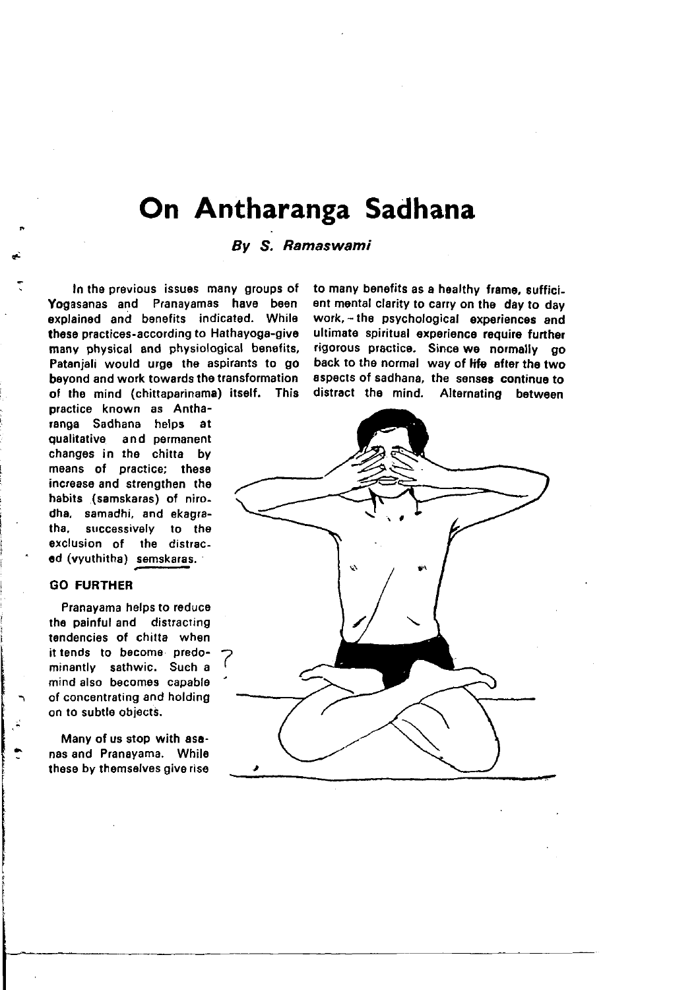# On Antharanga Sadhana

# By S. Ramaswami

In the pravious issuas many groups of Yogasanas and Pranayamas have been explained and benefits indicated. While these practices-according to Hathayoga-give many physical and physiological benetits, Pataniali would urge the aspirants to go beyond and work towards the transformation of the mind (chittaparinama) itself. This

practice known as Antharanga Sadhana helps at qualitative and permanent changes in the chitta by means of practice: these increase and strengthen the habits (samskaras) of nirodha, samadhi, and ekagratha. successively to the exclusion of the distraced (vyuthitha) semskaras.

# GO FURTHEB

Pranayama helps to reduce the painful and distracting tendencies of chitta when it tends to bocome predominantly sathwic. Sueh a mind also becomes capabls of concentrating and holding on to subtle obiects.

Many of us stop with asanas and Pranayama. While these by themselves give rise

to many benefits as a hoalthy frame, sufficiont mental clarity to cary on tha day to day work. - the psychological experiences and ultimate spiritual experience require further rigorous practice. Since we normally go back to the normal way of life after the two aspects of sadhana, the senses continue to distract tho mind. Altornating botween

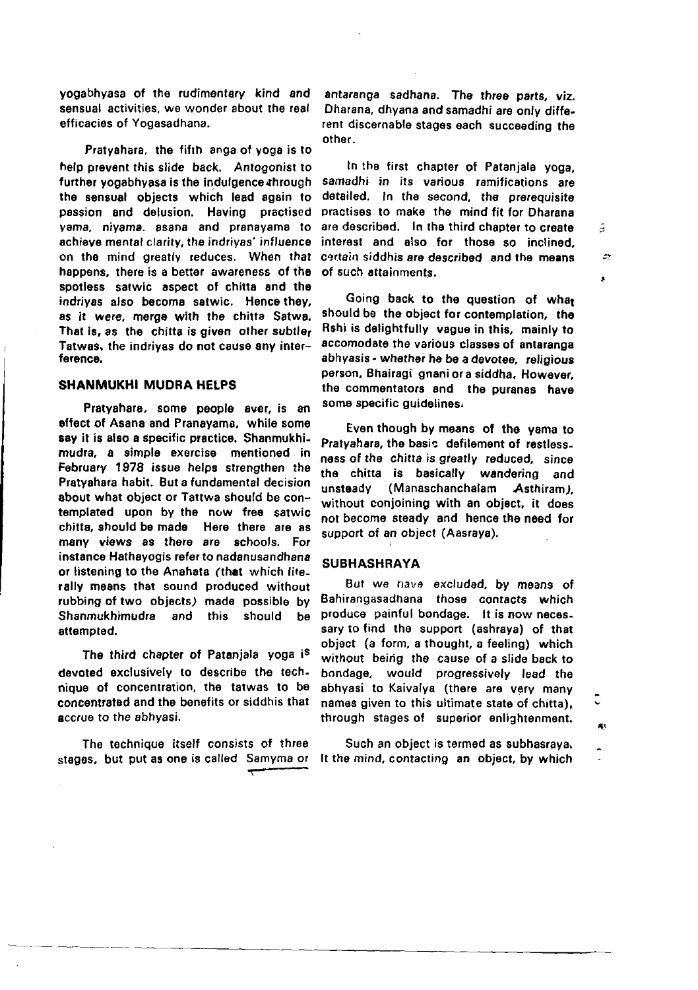yogabhyasa of the rudimentary kind and sensual activities, we wonder about the real efficacies of Yogasadhana.

Pratyahara, the fifth anga of yoga is to help prevent this slide back. Antogonist to further vogabhyasa is the indulgence through the sensual objects which lead again to passion and delusion. Having practised vama, nivama, asana and pranavama to achieve mental clarity, the indrivas' influence on the mind greatly reduces. When that happens, there is a better awareness, of the spotless satwic aspect of chitta and the indrivas also become satwic. Hence they, as it were, merge with the chitta Satwa. That is, as the chitta is given other subtler Tatwas, the indrivas do not cause any interference.

# SHANMUKHI MUDRA HELPS

Pratyahara, some people aver, is an effect of Asana and Pranavama, while some say it is also a specific practice. Shanmukhimudra, a simple exercise mentioned in February 1978 issue helps strengthen the Pratvahara habit. But a fundamental decision about what object or Tattwa should be contemplated upon by the now free satwic chitta, should be made Here there are as many views as there are schools. For instance Hathayogis refer to nadanusandhana or listening to the Anahata (that which lite. rally means that sound produced without rubbing of two objects) made possible by Shanmukhimudra and this should be attempted.

The third chapter of Pataniala voga is devoted exclusively to describe the technique of concentration, the tatwas to be concentrated and the benefits or siddhis that accrue to the abhyasi.

The technique itself consists of three stages. but put as one is called Samyma or

antaranga sadhana. The three parts, viz. Dharana, dhyana and samadhi are only different discernable stages each succeeding the other.

In the first chapter of Patanjala yoga, samadhi in its various ramifications are detailed. In the second, the prerequisite practises to make the mind fit for Dharana are described. In the third chapter to create interest and also for those so inclined. certain siddhis are described and the means of such attainments

Ã

 $\tilde{z}$ 

Ä

жx

 $\ddot{\phantom{1}}$ 

Going back to the question of what should be the object for contemplation, the Rshi is delightfully vague in this, mainly to accomodate the various classes of antaranga abhyasis - whether he be a devotee, religious person, Bhairagi gnani or a siddha. However, the commentators and the puranas have some specific quidelines.

Even though by means of the yama to Pratvahara, the basic defilement of restless. ness of the chitta is greatly reduced, since the chitta is basically wandering and unsteady (Manaschanchalam Asthiram). without conjoining with an object, it does not become steady and hence the need for support of an object (Aasraya).

# **SUBHASHRAYA**

But we have excluded, by means of Bahirangasadhana those contacts which produce painful bondage. It is now necessary to find the support (ashraya) of that object (a form, a thought, a feeling) which without being the cause of a slide back to bondage, would progressively lead the abhyasi to Kaivalya (there are very many names given to this ultimate state of chitta). through stages of superior enlightenment.

Such an object is termed as subhasrava. It the mind, contacting an object, by which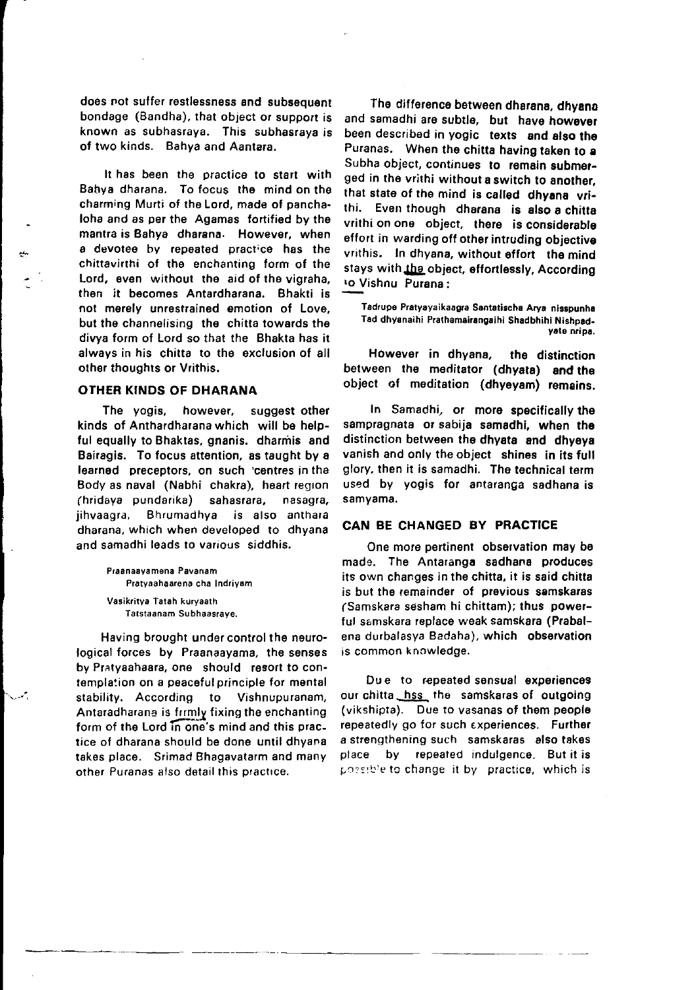does not suffer restlessness and subsequent bondage (Bandha), that object or support is known as subhasraya. This subhasraya is of two kinds. Bahya and Aantara.

It has been the practice to start with Babya dharana. To focus the mind on the charming Murti of the Lord, made of panchaloha and as per the Agamas fortified by the mantra is Bahya dharana. However, when a devotee by repeated practice has the chittavirthi of the enchanting form of the Lord, even without the aid of the vigraha, then it becomes Antardharana. Bhakti is not merely unrestrained emotion of Love, but the channelising the chitta towards the divya form of Lord so that the Bhakta has it always in his chitta to the exclusion of all orher thoughts or Vrithis.

#### OTHER KINDS OF DHARANA

The yogis, however, suggest other kinds of Anthardharana which will be helpful equally to Bhaktas, gnanis. dharmis and Bairagis. To focus attention, as taught by a learned preceptors, on such 'centres in the Body as naval (Nabhi chakra), heart regron (htidaya pundarika) sahasrara, nasagra. jihvaagra, Bhrumadhya is also anthara dharana, which when developed to dhyana and samadhi leads to vanous siddhis.

> Praanaayamena Pavanam Pratyaahaarena cha Indriyam Vasikfitya Tatah kuryaath Tatstaanam Subhaasrave.

Having brought under control the neurological forces by Praanaayama, the senses by Pratyaahaara, one should resort to contempla:ion on a peacefulprinciple for mental stability. According to Vishnupuranam, Antaradharana is frrmly fixing the enchanting form of the Lord in one's mind and this practice of dharana should be done until dhyana takes place. Srimad Bhagavatarm and many other Puranas also detail this practice.

The difference between dharana, dhyana and samadhi are subtle, but have however been described in yogic texts and also the Puranas. When the chitta having taken to a Subha object, continues to remain submorged in the vrithi without a switch to another, that state of the mind is called dhyana vrithi. Even though dharana is also a chitta vrithi on one object, there is considerable effort in warding off other intruding objective vrithis. In dhyana, without effort the mind stays with the object, effortlessly, According ro Vishnu Purana:

Tadrupe Pratyayaikaagra Santatischa Arya nisspunha Tad dhyanaihi Prathamairangaihi Shadbhihi Nishpad-<br>vate nripa.

However in dhyana, the distinction between the meditator (dhyata) and the object of meditation (dhyeyam) remains.

In Samadhi, or moro spocitically the sampragnata or sabija samadhi. when the distinction between the dhyata and dhyeys vanish and only the object shines in its full glory, then it is samadhi. The technical term used by yogis for antaranga sadhana is samvama.

# CAN BE CHANGED BY PRACTICE

One more pertinent observation may be made. The Antaranga sadhana produces its own changes in the chitta, it is said chitta is but the remainder of previous samskaras (Samskara sesham hi chittam); thus powerful samskara replace weak samskara (Ptabalena durbalasya Badaha), which observation is common knowledge.

Due to repeated sensual experiences our chitta hss the samskaras of outgoing (vikshipta). Due to vasanas of them people repeatedly go for such experiences. Further a strengthening such samskaras also takes place by repeated indulgence. But it is possible to change it by practice, which is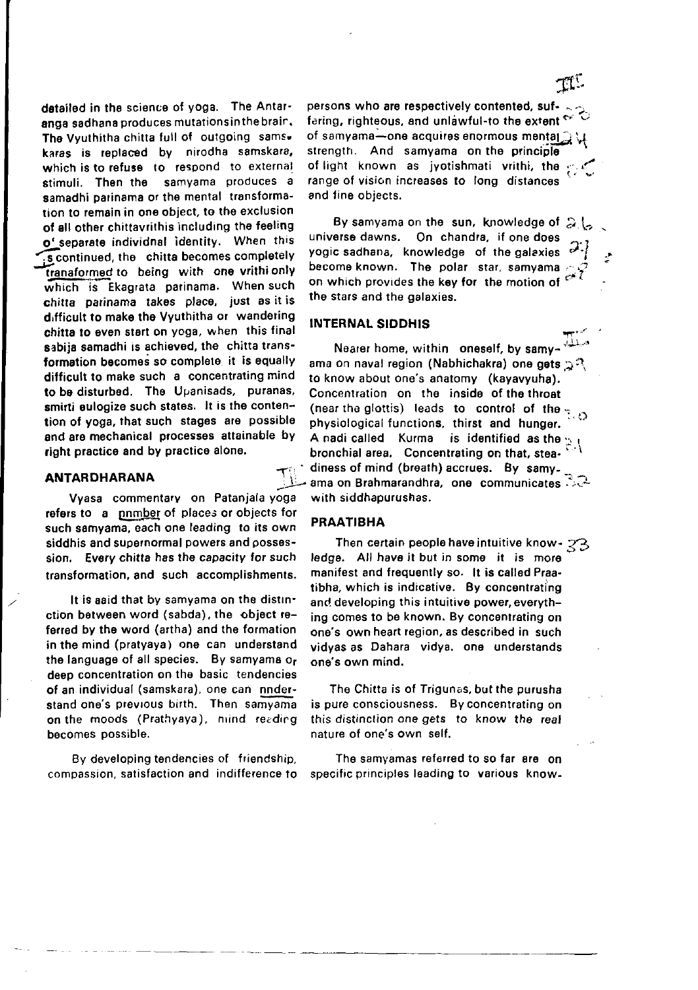detailed in the science of yoga. The Antaranga sadhana produces mutations in the brain. The Vyuthitha chitta full of outgoing sams. karas is replaced by nirodha samskara, which is to refuse to respond to external stimuli. Then the samvama produces a samadhi parinama or the mental transformation to remain in one object, to the exclusion of all other chittavrithis including the feeling o' separate individnal identity. When this s continued, the chitta becomes completely tranaformed to being with one vrithionly which is Ekagrata parinama. When such chitta parinama takes place, just as it is difficult to make the Vyuthitha or wandering chitta to even start on yoga, when this final sabiia samadhi is achieved, the chitta transformation becomes so complete it is equally difficult to make such a concentrating mind to be disturbed. The Upanisads, puranas, smirti eulogize such states. It is the contention of yoga, that such stages are possible and are mechanical processes attainable by right practice and by practice alone.

### **ANTARDHARANA**

Vyasa commentary on Patanjala yoga refers to a pnmber of places or objects for such samyama, each one leading to its own siddhis and supernormal powers and possession. Every chitta has the capacity for such transformation, and such accomplishments.

It is aaid that by samyama on the distinction between word (sabda), the object referred by the word (artha) and the formation in the mind (pratyaya) one can understand the language of all species. By samyama or deep concentration on the basic tendencies of an individual (samskara), one can nnderstand one's previous birth. Then samvama on the moods (Prathyaya), mind reading becomes possible.

By developing tendencies of friendship, compassion, satisfaction and indifference to persons who are respectively contented, suffering, righteous, and unlawful-to the extent  $\sim$ of samvama-one acquires enormous mental a strength. And samyama on the principle of light known as jyotishmati vrithi, the  $\epsilon$ range of vision increases to long distances and fine objects.

By samyama on the sun, knowledge of all universe dawns. On chandra, if one does yogic sadhana, knowledge of the galaxies become known. The polar star, samyama on which provides the key for the motion of  $e^{-7}$ the stars and the galaxies.

#### **INTERNAL SIDDHIS**

Nearer home, within oneself, by samyama on naval region (Nabhichakra) one gets  $\mathbb{R}^n$ to know about one's anatomy (kayavyuha). Concentration on the inside of the throat (near the glottis) leads to control of the  $\frac{1}{2}$ physiological functions, thirst and hunger. A nadi called Kurma is identified as the bronchial area. Concentrating on that, steadiness of mind (breath) accrues. By samy-<br>ama on Brahmarandhra, one communicates with siddhapurushas.

#### **PRAATIBHA**

Then certain people have intuitive know - 23 ledge. All have it but in some it is more manifest and frequently so. It is called Praatibha, which is indicative. By concentrating and developing this intuitive power, everything comes to be known. By concentrating on one's own heart region, as described in such vidyas as Dahara vidya, one understands one's own mind.

The Chitta is of Trigunas, but the purusha is pure consciousness. By concentrating on this distinction one gets to know the real nature of one's own self.

The samyamas referred to so far are on specific principles leading to various know.